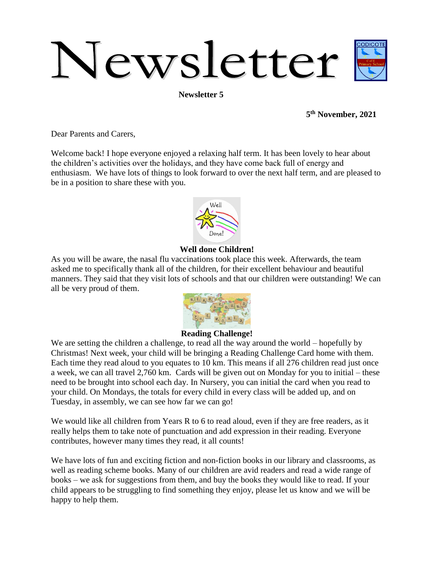# Newsletter

**Newsletter 5**

**5 th November, 2021**

Dear Parents and Carers,

Welcome back! I hope everyone enjoyed a relaxing half term. It has been lovely to hear about the children's activities over the holidays, and they have come back full of energy and enthusiasm. We have lots of things to look forward to over the next half term, and are pleased to be in a position to share these with you.



## **Well done Children!**

As you will be aware, the nasal flu vaccinations took place this week. Afterwards, the team asked me to specifically thank all of the children, for their excellent behaviour and beautiful manners. They said that they visit lots of schools and that our children were outstanding! We can all be very proud of them.



### **Reading Challenge!**

We are setting the children a challenge, to read all the way around the world – hopefully by Christmas! Next week, your child will be bringing a Reading Challenge Card home with them. Each time they read aloud to you equates to 10 km. This means if all 276 children read just once a week, we can all travel 2,760 km. Cards will be given out on Monday for you to initial – these need to be brought into school each day. In Nursery, you can initial the card when you read to your child. On Mondays, the totals for every child in every class will be added up, and on Tuesday, in assembly, we can see how far we can go!

We would like all children from Years R to 6 to read aloud, even if they are free readers, as it really helps them to take note of punctuation and add expression in their reading. Everyone contributes, however many times they read, it all counts!

We have lots of fun and exciting fiction and non-fiction books in our library and classrooms, as well as reading scheme books. Many of our children are avid readers and read a wide range of books – we ask for suggestions from them, and buy the books they would like to read. If your child appears to be struggling to find something they enjoy, please let us know and we will be happy to help them.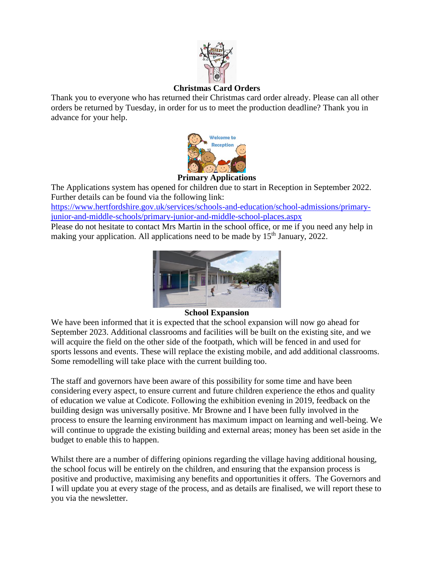

# **Christmas Card Orders**

Thank you to everyone who has returned their Christmas card order already. Please can all other orders be returned by Tuesday, in order for us to meet the production deadline? Thank you in advance for your help.



# **Primary Applications**

The Applications system has opened for children due to start in Reception in September 2022. Further details can be found via the following link:

[https://www.hertfordshire.gov.uk/services/schools-and-education/school-admissions/primary](https://www.hertfordshire.gov.uk/services/schools-and-education/school-admissions/primary-junior-and-middle-schools/primary-junior-and-middle-school-places.aspx)[junior-and-middle-schools/primary-junior-and-middle-school-places.aspx](https://www.hertfordshire.gov.uk/services/schools-and-education/school-admissions/primary-junior-and-middle-schools/primary-junior-and-middle-school-places.aspx)

Please do not hesitate to contact Mrs Martin in the school office, or me if you need any help in making your application. All applications need to be made by 15<sup>th</sup> January, 2022.



### **School Expansion**

We have been informed that it is expected that the school expansion will now go ahead for September 2023. Additional classrooms and facilities will be built on the existing site, and we will acquire the field on the other side of the footpath, which will be fenced in and used for sports lessons and events. These will replace the existing mobile, and add additional classrooms. Some remodelling will take place with the current building too.

The staff and governors have been aware of this possibility for some time and have been considering every aspect, to ensure current and future children experience the ethos and quality of education we value at Codicote. Following the exhibition evening in 2019, feedback on the building design was universally positive. Mr Browne and I have been fully involved in the process to ensure the learning environment has maximum impact on learning and well-being. We will continue to upgrade the existing building and external areas; money has been set aside in the budget to enable this to happen.

Whilst there are a number of differing opinions regarding the village having additional housing, the school focus will be entirely on the children, and ensuring that the expansion process is positive and productive, maximising any benefits and opportunities it offers. The Governors and I will update you at every stage of the process, and as details are finalised, we will report these to you via the newsletter.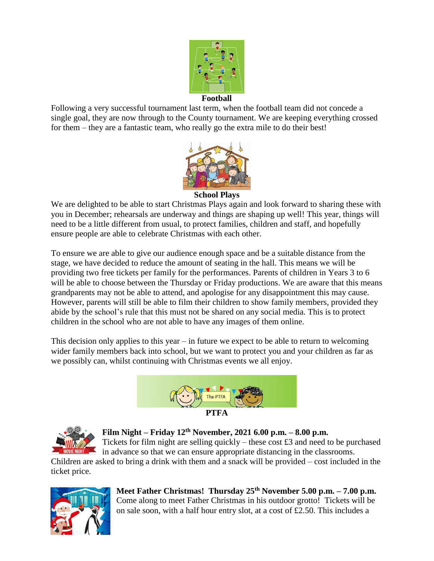

**Football**

Following a very successful tournament last term, when the football team did not concede a single goal, they are now through to the County tournament. We are keeping everything crossed for them – they are a fantastic team, who really go the extra mile to do their best!



**School Plays**

We are delighted to be able to start Christmas Plays again and look forward to sharing these with you in December; rehearsals are underway and things are shaping up well! This year, things will need to be a little different from usual, to protect families, children and staff, and hopefully ensure people are able to celebrate Christmas with each other.

To ensure we are able to give our audience enough space and be a suitable distance from the stage, we have decided to reduce the amount of seating in the hall. This means we will be providing two free tickets per family for the performances. Parents of children in Years 3 to 6 will be able to choose between the Thursday or Friday productions. We are aware that this means grandparents may not be able to attend, and apologise for any disappointment this may cause. However, parents will still be able to film their children to show family members, provided they abide by the school's rule that this must not be shared on any social media. This is to protect children in the school who are not able to have any images of them online.

This decision only applies to this year – in future we expect to be able to return to welcoming wider family members back into school, but we want to protect you and your children as far as we possibly can, whilst continuing with Christmas events we all enjoy.





**Film Night – Friday 12th November, 2021 6.00 p.m. – 8.00 p.m.** 

Tickets for film night are selling quickly – these cost  $\pounds 3$  and need to be purchased in advance so that we can ensure appropriate distancing in the classrooms.

Children are asked to bring a drink with them and a snack will be provided – cost included in the ticket price.



**Meet Father Christmas! Thursday 25th November 5.00 p.m. – 7.00 p.m.** Come along to meet Father Christmas in his outdoor grotto! Tickets will be on sale soon, with a half hour entry slot, at a cost of £2.50. This includes a